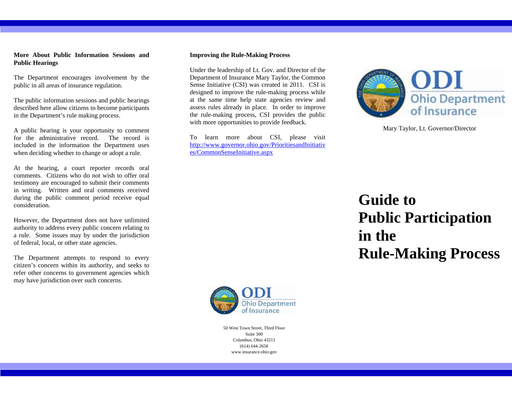## **More About Public Information Sessions and Public Hearings**

The Department encourages involvement by the public in all areas of insurance regulation.

The public information sessions and public hearings described here allow citizens to become participants in the Department's rule making process.

A public hearing is your opportunity to comment for the administrative record. The record is included in the information the Department uses when deciding whether to change or adopt a rule.

At the hearing, a court reporter records oral comments. Citizens who do not wish to offer oral testimony are encouraged to submit their comments in writing. Written and oral comments received during the public comment period receive equal consideration.

However, the Department does not have unlimited authority to address every public concern relating to a rule. Some issues may by under the jurisdiction of federal, local, or other state agencies.

The Department attempts to respond to every citizen's concern within its authority, and seeks to refer other concerns to government agencies which may have jurisdiction over such concerns.

#### **Improving the Rule-Making Process**

Under the leadership of Lt. Gov. and Director of the Department of Insurance Mary Taylor, the Common Sense Initiative (CSI) was created in 2011. CSI is designed to improve the rule-making process while at the same time help state agencies review and assess rules already in place. In order to improve the rule-making process, CSI provides the public with more opportunities to provide feedback.

To learn more about CSI, please visit http://www.governor.ohio.gov/PrioritiesandInitiativ es/CommonSenseInitiative.aspx



Mary Taylor, Lt. Governor/Director

# **Guide to Public Participation in the Rule-Making Process**



50 West Town Street, Third Floor Suite 300 Columbus, Ohio 43215 (614) 644-2658 www.insurance.ohio.gov